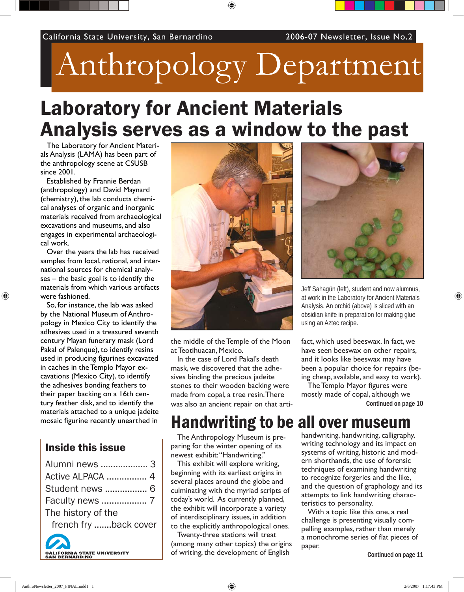# Anthropology Department

◈

## Laboratory for Ancient Materials Analysis serves as a window to the past

The Laboratory for Ancient Materials Analysis (LAMA) has been part of the anthropology scene at CSUSB since 2001.

Established by Frannie Berdan (anthropology) and David Maynard (chemistry), the lab conducts chemical analyses of organic and inorganic materials received from archaeological excavations and museums, and also engages in experimental archaeological work.

Over the years the lab has received samples from local, national, and international sources for chemical analyses – the basic goal is to identify the materials from which various artifacts were fashioned.

⊕

So, for instance, the lab was asked by the National Museum of Anthropology in Mexico City to identify the adhesives used in a treasured seventh century Mayan funerary mask (Lord Pakal of Palenque), to identify resins used in producing figurines excavated in caches in the Templo Mayor excavations (Mexico City), to identify the adhesives bonding feathers to their paper backing on a 16th century feather disk, and to identify the materials attached to a unique jadeite mosaic figurine recently unearthed in

#### Inside this issue

| Alumni news  3        |
|-----------------------|
| Active ALPACA  4      |
| Student news  6       |
|                       |
| The history of the    |
| french fry back cover |
|                       |

.<br>ORNIA STATE UNIVERSITY<br>ERNARDINO



the middle of the Temple of the Moon at Teotihuacan, Mexico.

In the case of Lord Pakal's death mask, we discovered that the adhesives binding the precious jadeite stones to their wooden backing were made from copal, a tree resin. There was also an ancient repair on that arti-



Jeff Sahagún (left), student and now alumnus, at work in the Laboratory for Ancient Materials Analysis. An orchid (above) is sliced with an obsidian knife in preparation for making glue using an Aztec recipe.

fact, which used beeswax. In fact, we have seen beeswax on other repairs, and it looks like beeswax may have been a popular choice for repairs (being cheap, available, and easy to work).

The Templo Mayor figures were mostly made of copal, although we Continued on page 10

### Handwriting to be all over museum

The Anthropology Museum is preparing for the winter opening of its newest exhibit: "Handwriting."

This exhibit will explore writing, beginning with its earliest origins in several places around the globe and culminating with the myriad scripts of today's world. As currently planned, the exhibit will incorporate a variety of interdisciplinary issues, in addition to the explicitly anthropological ones.

Twenty-three stations will treat (among many other topics) the origins of writing, the development of English

handwriting, handwriting, calligraphy, writing technology and its impact on systems of writing, historic and modern shorthands, the use of forensic techniques of examining handwriting to recognize forgeries and the like, and the question of graphology and its attempts to link handwriting characteristics to personality.

With a topic like this one, a real challenge is presenting visually compelling examples, rather than merely a monochrome series of flat pieces of paper.

Continued on page 11

⊕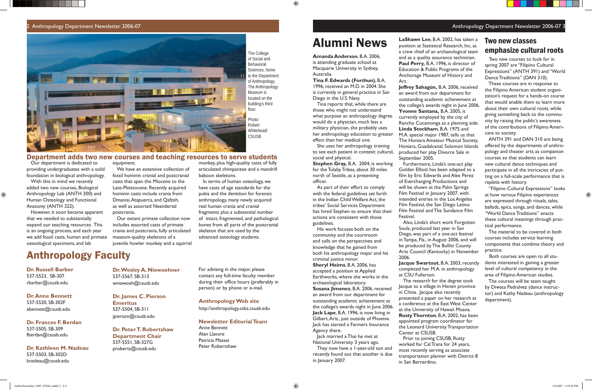**Dr. Russell Barber** 537-5523, SB-307 rbarber@csusb.edu

**Dr. Anne Bennett** 537-5520, SB-302F abennett@csusb.edu

**Dr. Frances F. Berdan** 537-5505, SB-309 fberdan@csusb.edu

**Dr. Kathleen M. Nadeau** 537-5503, SB-302D knadeau@csusb.edu

### Anthropology Faculty

**Dr. Wesley A. Niewoehner** 537-5567, SB-313 wniewoeh@csusb.edu

**Dr. James C. Pierson Emeritus** 537-5504, SB-311 jpierson@csusb.edu

**Dr. Peter T. Robertshaw Department Chair** 537-5551, SB-327G proberts@csusb.edu

For advising in the major, please contact any full-time faculty member during their office hours (preferably in person) or by phone or e-mail.

**Anthropology Web site**

http://anthropology.csbs.csusb.edu

#### **Newsletter Editorial Team**

Anne Bennett Alan Llavore Patricia Massei Peter Robertshaw

Our department is dedicated to providing undergraduates with a solid foundation in biological anthropology.

With this in mind we recently added two new courses, Biological Anthropology Lab (ANTH 200) and Human Osteology and Functional Anatomy (ANTH 322).

 $\bigoplus$ 

In terms of human osteology, we have casts of age standards for the pubis and the dentition for forensic anthropology, many newly acquired real human crania and cranial fragments plus a substantial number of intact, fragmented, and pathological bones from all parts of the postcranial skeleton that are used by the advanced osteology students.

However, it soon became apparent that we needed to substantially expand our teaching resources. This is an ongoing process, and each year we add fossil casts, human and primate osteological specimens, and lab

#### Robert Whitehead/ **CSUSB**

equipment. We have an extensive collection of fossil hominin cranial and postcranial casts that span the Miocene to the Late-Pleistocene. Recently acquired hominin casts include crania from

Dmanisi, Atapuerca, and Qafzeh, as well as assorted Neandertal postcrania.

**Stephen Gray,** B.A. 2004, is working for the Tulalip Tribes, about 30 miles north of Seattle, as a presenting officer.

Our extant primate collection now includes assorted casts of primate crania and postcrania, fully articulated museum-quality skeletons of a juvenile howler monkey and a squirrel

#### 2 Anthropology Department Newsletter 2006-07



monkey, plus high-quality casts of fully articulated chimpanzee and a mandrill baboon skeletons.

### Department adds two new courses and teaching resources to serve students

The College of Social and Behavioral Sciences, home to the Department of Anthropology. The Anthropology Museum is located on the building's third floor. Photo:

 $\bigoplus$ 

#### Anthropology Department Newsletter 2006-07 3

## Alumni News

**Amanda Anderson**, B.A. 2006, is attending graduate school at Macquarie University in Sydney, Australia.

**Tina F. Edwards (Forthun)**, B.A. 1996, received an M.D. in 2004. She is currently in general practice in San Diego in the U.S. Navy.

Tina reports that, while there are those who might not understand what purpose an anthropology degree would do a physician, much less a military physician, she probably uses her anthropology education to greater effect than her medical one.

She uses her anthropology training to see each patient in context: cultural, social and physical.

As part of their effort to comply with the federal guidelines set forth in the Indian Child Welfare Act, the tribes' Social Services Department has hired Stephen to ensure that their actions are consistent with those guidelines.

His work focuses both on the community and the courtroom and calls on the perspectives and knowledge that he gained from both his anthropology major and his criminal justice minor.

**Sheryl Heims**, B.A. 2006, has accepted a position at Applied Earthworks, where she works in the archaeological laboratory.

**Susana Jimenez**, B.A. 2006, received an award from our department for outstanding academic achievement at the college's awards night in June 2006. **Jack Lape**, B.A. 1996, is now living in Gilbert, Ariz., just outside of Phoenix. Jack has started a Farmers Insurance Agency there.

Jack married a Thai he met at National University 3 years ago.

They now have a 1-year-old son and recently found out that another is due in January 2007.

**LaShawn Lee**, B.A. 2002, has taken a position at Statistical Research, Inc, as a crew chief of an archaeological team and as a quality assurance technician. **Paul Perry,** B.A. 1996, is director of Education & Public Programs of the Anchorage Museum of History and

Art.

**Jeffrey Sahagún,** B.A. 2006, received an award from our department for outstanding academic achievement at the college's awards night in June 2006. **Yvonne Santana,** B.A. 2005, is currently employed by the city of Rancho Cucamonga as a planning aide. **Linda Stockham**, B.A. 1975 and M.A. special major 1987, tells us that The Honiara Amateur Musical Society, Honiara, Guadalcanal, Solomon Islands produced her play Divorce Sale in

September 2005.

Furthermore, Linda's one-act play Golden Elliott has been adapted to a film by Eric Edwards and Alex Perez of Everchanging Productions and will be shown at the Palm Springs Film Festival in January 2007, with intended entries in the Los Angeles Film Festival, the San Diego Latino Film Festival and The Sundance Film

Festival.

Also, Linda's short work Forgotten Souls, produced last year in San Diego, was part of a one-act festival in Tampa, Fla., in August 2006, and will be produced by The Bullitt County Arts Council (Kentucky) in November

2006.

**Jacque Swartout**, B.A. 2003, recently completed her M.A. in anthropology at CSU Fullerton.

The research for the degree took Jacque to a village in Henen province in China. Jacque also recently presented a paper on her research at a conference at the East West Center at the University of Hawaii Moana. **Rusty Thornton**, B.A. 2002, has been appointed program coordinator for the Leonard University Transportation Center at CSUSB.

Prior to joining CSUSB, Rusty worked for Cal Trans for 24 years, most recently serving as associate transportation planner with District 8

in San Bernardino.

### Two new classes emphasize cultural roots

 Two new courses to look for in spring 2007 are "Filipino Cultural Expressions" (ANTH 391) and "World Dance Traditions" (DAN 310).

 These courses are in response to the Filipino American student organization's request for a hands-on course that would enable them to learn more about their own cultural roots, while giving something back to the community by raising the public's awareness of the contributions of Filipino Americans to society.

 ANTH 391 and DAN 310 are being offered by the departments of anthropology and theater arts as companion courses so that students can learn new cultural dance techniques and participate in all the intricacies of putting on a full-scale performance that is replete with history.

 "Filipino Cultural Expressions" looks at how various Filipino experiences are expressed through rituals, tales, ballads, epics, songs, and dances, while "World Dance Traditions" enacts these cultural meanings through practical performance.

 The material to be covered in both courses includes service learning components that combine theory and practice.

 Both courses are open to all students interested in gaining a greater level of cultural competency in the area of Filipino American studies.

 The courses will be team taught by Diwata Pedralvez (dance instructor) and Kathy Nadeau (anthropology department).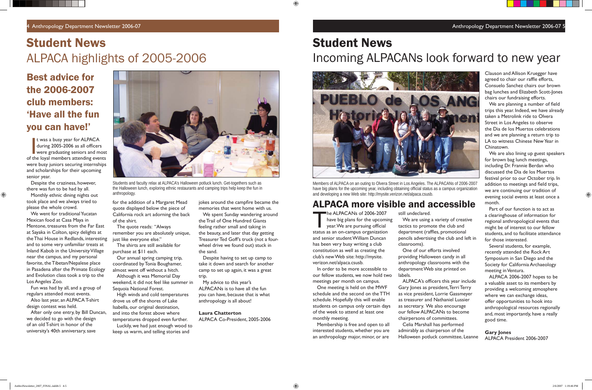4 Anthropology Department Newsletter 2006-07 Anthropology Department Newsletter 2006-07 5



Students and faculty relax at ALPACA's Halloween potluck lunch. Get-togethers such as the Halloween lunch, exploring ethnic restaurants and camping trips help keep the fun in anthropology.

t was a busy year for ALPACA<br>during 2005-2006 as all officers<br>were graduating seniors and most<br>the loval members attending events t was a busy year for ALPACA during 2005-2006 as all officers of the loyal members attending events were busy juniors securing internships and scholarships for their upcoming senior year.

### Best advice for the 2006-2007 club members: 'Have all the fun you can have!'

Despite the craziness, however, there was fun to be had by all.

 $\bigoplus$ 

Monthly ethnic dining nights out took place and we always tried to please the whole crowd.

We went for traditional Yucatan Mexican food at Casa Maya in Mentone, treasures from the Far East at Sayaka in Colton, spicy delights at the Thai House in Redlands, interesting and to some very unfamiliar treats at Inland Kabob in the University Village near the campus, and my personal favorite, the Tibetan/Nepalese place in Pasadena after the Primate Ecology and Evolution class took a trip to the Los Angeles Zoo.

jokes around the campfire became the memories that went home with us.

Fun was had by all, and a group of regulars attended most events.

Also last year, an ALPACA T-shirt design contest was held.

After only one entry, by Bill Duncan, we decided to go with the design of an old T-shirt in honor of the university's 40th anniversary, save

## Student News ALPACA highlights of 2005-2006

for the addition of a Margaret Mead quote displayed below the piece of California rock art adorning the back

of the shirt.

The quote reads: "Always

remember you are absolutely unique,

just like everyone else."

The shirts are still available for

The ALPACANs of 2006-2007<br>have big plans for the upcomi<br>year. We are pursuing official have big plans for the upcoming year. We are pursuing official status as an on-campus organization and senior student William Duncan has been very busy writing a club constitution as well as creating the club's new Web site: http://mysite. verizon.net/alpaca.csusb.

purchase at \$11 each.

Our annual spring camping trip, coordinated by Tonia Boughamer, almost went off without a hitch. Although it was Memorial Day weekend, it did not feel like summer in

Sequoia National Forest.

High winds and cold temperatures

drove us off the shores of Lake Isabella, our original destination, and into the forest above where temperatures dropped even further. Luckily, we had just enough wood to keep us warm, and telling stories and

ALPACA's officers this year include Gary Jones as president, Terri Terry as vice president, Lorrie Gassmeyer as treasurer and Nathaniel Lussier as secretary. We also encourage our fellow ALPACANs to become chairpersons of committees. Celia Marshall has performed admirably as chairperson of the Halloween potluck committee, Leanne

⊕

We spent Sunday wandering around the Trail of One Hundred Giants feeling rather small and taking in the beauty, and later that day getting Treasurer Ted Goff's truck (not a fourwheel drive we found out) stuck in the sand.

We are planning a number of field trips this year. Indeed, we have already taken a Metrolink ride to Olvera Street in Los Angeles to observe the Dia de los Muertos celebrations and we are planning a return trip to LA to witness Chinese New Year in Chinatown.

Despite having to set up camp to take it down and search for another camp to set up again, it was a great trip.

My advice to this year's ALPACANs is to have all the fun you can have, because that is what anthropology is all about!

#### **Laura Chatterton**

ALPACA Co-President, 2005-2006

## Student News Incoming ALPACANs look forward to new year



Members of ALPACA on an outing to Olvera Street in Los Angeles. The ALPACANs of 2006-2007 have big plans for the upcoming year, including obtaining official status as a campus organization and developing a new Web site: http://mysite.verizon.net/alpaca.csusb.

### ALPACA more visible and accessible

In order to be more accessible to our fellow students, we now hold two meetings per month on campus.

One meeting is held on the MWF schedule and the second on the TTH schedule. Hopefully this will enable students on campus only certain days of the week to attend at least one monthly meeting.

Membership is free and open to all interested students, whether you are an anthropology major, minor, or are

still undeclared.

We are using a variety of creative tactics to promote the club and department (raffles, promotional pencils advertising the club and left in

classrooms). labels.

One of our efforts involved providing Halloween candy in all anthropology classrooms with the department Web site printed on

Clauson and Allison Kruegger have agreed to chair our raffle efforts, Consuelo Sanchez chairs our brown bag lunches and Elizabeth Scott-Jones chairs our fundraising efforts.

We are also lining up guest speakers for brown bag lunch meetings, including Dr. Frannie Berdan who discussed the Dia de los Muertos festival prior to our October trip. In addition to meetings and field trips, we are continuing our tradition of evening social events at least once a month.

Part of our function is to act as a clearinghouse of information for regional anthropological events that might be of interest to our fellow students, and to facilitate attendance for those interested.

Several students, for example, recently attended the Rock Art Symposium in San Diego and the Society for California Archaeology meeting in Ventura.

ALPACA 2006-2007 hopes to be a valuable asset to its members by providing a welcoming atmosphere where we can exchange ideas, offer opportunities to hook into anthropological resources regionally and, most importantly, have a really good time.

#### **Gary Jones** ALPACA President 2006-2007

⊕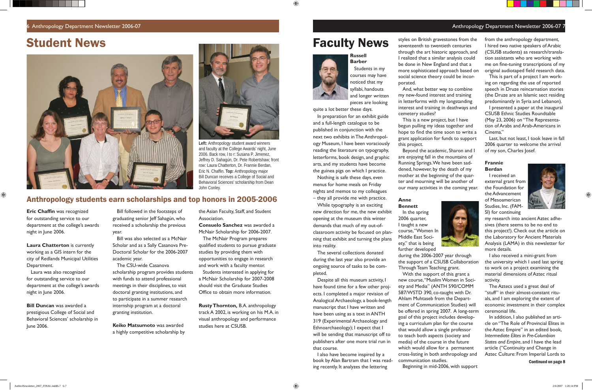### Student News **Faculty News**





#### 6 Anthropology Department Newsletter 2006-07 Anthropology Department Newsletter 2006-07 7

**Left:** Anthropology student award winners and faculty at the College Awards' night, June 2006. Back row, l to r: Susana P. Jimenez, Jeffrey D. Sahagún, Dr. Pete Robertshaw; front row: Laura Chatterton, Dr. Frannie Berdan, Eric N. Chaffin. **Top:** Anthropology major Bill Duncan receives a College of Social and Behavioral Sciences' scholarship from Dean John Conley.

**Eric Chaffin was recognized** for outstanding service to our department at the college's awards night in June 2006.

 $\bigoplus$ 

### Anthropology students earn scholarships and top honors in 2005-2006

**Laura Chatterton** is currently working as a GIS intern for the city of Redlands Municipal Utilities Department.

Laura was also recognized for outstanding service to our department at the college's awards night in June 2006.

Students interested in applying for a McNair Scholarship for 2007-2008 should visit the Graduate Studies Office to obtain more information.

**Bill Duncan** was awarded a prestigious College of Social and Behavioral Sciences' scholarship in June 2006.

Bill followed in the footsteps of graduating senior Jeff Sahagún, who received a scholarship the previous year.

Bill was also selected as a McNair Scholar and as a Sally Casanova Pre-Doctoral Scholar for the 2006-2007 academic year.

The CSU-wide Casanova scholarship program provides students with funds to attend professional meetings in their disciplines, to visit doctoral granting institutions, and to participate in a summer research internship program at a doctoral granting institution.

**Keiko Matsumoto** was awarded a highly competitive scholarship by

the Asian Faculty, Staff, and Student Association.

**Consuelo Sanchez** was awarded a McNair Scholarship for 2006-2007.

The McNair Program prepares qualified students to pursue graduate studies by providing them with opportunities to engage in research and work with a faculty mentor.

**Rusty Thornton,** B.A. anthropology track A 2002, is working on his M.A. in visual anthropology and performance studies here at CSUSB.

**Russell** 



 $\bigoplus$ 

**Barber** Students in my courses may have noticed that my syllabi, handouts and longer written pieces are looking

quite a lot better these days.

In preparation for an exhibit guide

and a full-length catalogue to be published in conjunction with the next two exhibits in The Anthropology Museum, I have been voraciously reading the literature on typography, letterforms, book design, and graphic arts, and my students have become the guinea pigs on which I practice.

from the anthropology department, I hired two native speakers of Arabic (CSUSB students) as research/translation assistants who are working with me on fine-tuning transcriptions of my original audiotaped field research data.

Nothing is safe these days, even menus for home meals on Friday nights and memos to my colleagues – they all provide me with practice.

While typography is an exciting new direction for me, the new exhibit opening at the museum this winter demands that much of my out-ofclassroom activity be focused on planning that exhibit and turning the plans into reality.

The several collections donated during the last year also provide an ongoing source of tasks to be completed.

Despite all this museum activity, I have found time for a few other projects. I completed a major revision of Analogical Archaeology, a book-length manuscript that I have written and have been using as a text in ANTH 319 (Experimental Archaeology and Ethnoarchaeology); I expect that I will be sending that manuscript off to publishers after one more trial run in that course.

I also have become inspired by a book by Alan Bartram that I was reading recently. It analyzes the lettering

styles on British gravestones from the seventeenth to twentieth centuries through the art historic approach, and I realized that a similar analysis could be done in New England and that a more sophisticated approach based on social science theory could be incorporated.

And, what better way to combine my new-found interest and training in letterforms with my longstanding interest and training in deathways and cemetery studies?

This is a new project, but I have begun pulling my ideas together and hope to find the time soon to write a grant application for funds to support this project.

Beyond the academic, Sharon and I are enjoying fall in the mountains of Running Springs. We have been saddened, however, by the death of my mother at the beginning of the quarter and mourning will be another of our many activities in the coming year.



#### **Anne Bennett**

In the spring 2006 quarter, I taught a new course, "Women In Middle East Society," that is being further developed

during the 2006-2007 year through the support of a CSUSB Collaboration Through Team Teaching grant. With the support of this grant a new course, "Muslim Women in Society and Media" (ANTH 590/COMM 587/WSTD 390, co-taught with Dr. Ahlam Muhtaseb from the Department of Communication Studies) will be offered in spring 2007. A long-term goal of this project includes developing a curriculum plan for the course that would allow a single professor to teach both aspects (society and media) of the course in the future which would allow for a permanent cross-listing in both anthropology and communication studies. Beginning in mid-2006, with support

This is part of a project I am working on regarding the use of reported speech in Druze reincarnation stories (the Druze are an Islamic sect residing predominantly in Syria and Lebanon).

I presented a paper at the inaugural CSUSB Ethnic Studies Roundtable (May 23, 2006) on "The Representation of Arabs and Arab-Americans in Cinema."

Last, but not least, I took leave in fall 2006 quarter to welcome the arrival of my son, Charles Josef.

#### **Frannie Berdan**

I received an external grant from the Foundation for the Advancement of Mesoamerican Studies, Inc. (FAM-SI) for continuing



⊕

my research into ancient Aztec adhesives (there seems to be no end to this project!). Check out the article on the Laboratory for Ancient Materials Analysis (LAMA) in this newsletter for more details.

I also received a mini-grant from the university which I used last spring to work on a project examining the material dimensions of Aztec ritual activity.

The Aztecs used a great deal of "stuff" in their almost-constant rituals, and I am exploring the extent of economic investment in their complex ceremonial life.

In addition, I also published an article on "The Role of Provincial Elites in the Aztec Empire" in an edited book, *Intermediate Elites in Pre-Columbian States and Empire*, and I have the lead article ("Continuity and Change in Aztec Culture: From Imperial Lords to

Continued on page 8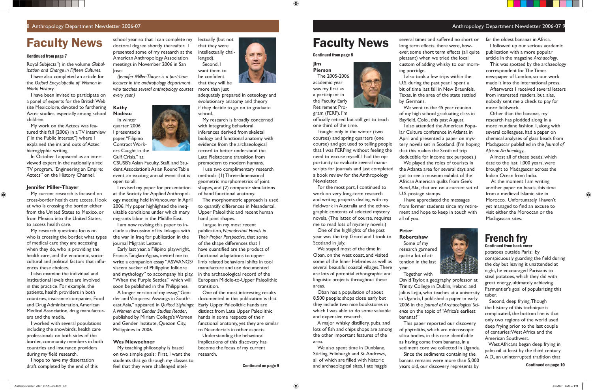## Faculty News school year so that I can complete my lectually (but not **Faculty News**

#### 8 Anthropology Department Newsletter 2006-07 Anthropology Department Newsletter 2006-07 9

Royal Subjects") in the volume *Globalization and Change in Fifteen Cultures*.

I have also completed an article for the *Oxford Encyclopedia of Women in World History*.

I have been invited to participate on a panel of experts for the British Web site Mexicolore, devoted to furthering Aztec studies, especially among school children.

In October I appeared as an interviewed expert in the nationally aired TV program, "Engineering an Empire: Aztecs" on the History Channel.

My work on the Aztecs was featured this fall (2006) in a TV interview ("In the Public Interest") where I explained the ins and outs of Aztec hieroglyphic writing.

I worked with several populations including the snowbirds, health care professionals on both sides of the border, community members in both countries and insurance providers during my field research.

#### **Jennifer Miller-Thayer**

 $\bigoplus$ 

My current research is focused on cross-border health care access. I look at who is crossing the border either from the United States to Mexico, or from Mexico into the United States, to access health care.

My research questions focus on who is crossing the border, what types of medical care they are accessing when they do, who is providing the health care, and the economic, sociocultural and political factors that influences these choices.

I also examine the individual and institutional levels that are involved in this practice. For example, the patients, health providers in both countries, insurance companies, Food and Drug Administration, American Medical Association, drug manufacturers and the media.

I am now revising this paper to include a discussion of its linkages with the war in Iraq for publication in the journal Migrant Letters.

I hope to have my dissertation draft completed by the end of this

#### Continued from page 7

<u>a shekara</u>

school year so that I can complete my doctoral degree shortly thereafter. I presented some of my research at the American Anthropology Association meetings in November 2006 in San Jose.

*(Jennifer Miller-Thayer is a part-time lecturer in the anthropology department who teaches several anthropology courses every year.)* 

#### **Kathy Nadeau**



CSUSB's Asian Faculty, Staff, and Student Association's Asian Round Table event, an exciting annual event that is open to all.

I revised my paper for presentation at the Society for Applied Anthropology meeting held in Vancouver in April 2006. My paper highlighted the inequitable conditions under which many migrants labor in the Middle East.

officially retired but still get to teach one third of the time.

Early last year, a Filipino playwright, Francis Tanglao-Aguas, invited me to write a companion essay "ASWANGS/ viscera sucker of Philippine folklore and mythology" to accompany his play, "When the Purple Settles," which will soon be published in the Philippines.

A longer version of my essay, "Gender and Vampires: Aswangs in Southeast Asia," appeared in *Quilted Sightings: A Women and Gender Studies Reader*, published by Miriam College's Women and Gender Institute, Quezon City, Philippines in 2006.

> We also spent time in Dunblane, Stirling, Edinburgh and St. Andrews, all of which are filled with historic **Continued on page 9** and archaeological sites. I ate haggis

#### **Wes Niewoehner**

My teaching philosophy is based on two simple goals: First, I want the students that go through my classes to feel that they were challenged intel-

lectually (but not that they were intellectually challenged).

Second, I want them to be confident that they will be more than just

adequately prepared in osteology and evolutionary anatomy and theory if they decide to go on to graduate school.

My research is broadly concerned with integrating behavioral inferences derived from skeletal biology and functional anatomy with evidence from the archaeological record to better understand the Late Pleistocene transition from premodern to modern humans.

I use two complimentary research methods: (1) Three-dimensional geometric morphometrics of joint shapes, and (2) computer simulations of hand functional anatomy.

The morphometric approach is used to quantify differences in Neandertal, Upper Paleolithic and recent human hand joint shapes.

Afterwards I received several letters from interested readers, but, alas, nobody sent me a check to pay for more fieldwork.

I argue in my most recent publication, *Neanderthal Hands in Their Proper Perspective*, that some of the shape differences that I have quantified are the product of functional adaptations to upperlimb related behavioral shifts in tool manufacture and use documented in the archaeological record of the European Middle-to-Upper Paleolithic transition.

One of the most interesting results documented in this publication is that Early Upper Paleolithic hands are distinct from Late Upper Paleolithic hands in some respects of their functional anatomy, yet they are similar to Neandertals in other aspects.

Understanding the behavioral implications of this discovery has become the focus of my current research.

### **Jim**

 $\bigoplus$ 



I taught only in the winter (two courses) and spring quarters (one course) and got used to telling people that I was FERPing without feeling the need to excuse myself. I had the opportunity to evaluate several manuscripts for journals and just completed a book review for the Anthropology Newsletter.

For the most part, I continued to work on very long-term research and writing projects dealing with my fieldwork in Australia and the ethnographic contents of selected mystery novels. (The latter, of course, requires me to read lots of mystery novels.)

One of the highlights of the past year was the trip Grace and I took to Scotland in July.

We stayed most of the time in Oban, on the west coast, and visited some of the Inner Hebrides as well as several beautiful coastal villages. There are lots of potential ethnographic and linguistic projects throughout these areas.

Oban has a population of about 8,500 people; shops close early but they include two nice bookstores in which I was able to do some valuable and expensive research.

A major whisky distillery, pubs, and lots of fish and chips shops are among the other important features of the area.

Continued from page 8

several times and suffered no short or long term effects; there were, however, some short term effects (all quite pleasant) when we tried the local custom of adding whisky to our morning porridge.

I also took a few trips within the U.S. during the past year. I spent a bit of time last fall in New Braunfels, Texas, in the area of the state settled



by Germans.

We went to the 45 year reunion of my high school graduating class in Bayfield, Colo., this past August. I also attended the American Popular Culture conference in Atlanta in April and presented a paper on mystery novels set in Scotland. (I'm hoping that this makes the Scotland trip deductible for income tax purposes.) We played the roles of tourists in the Atlanta area for several days and got to see a museum exhibit of the African American quilts from Gee's Bend, Ala., that are on a current set of U.S. postage stamps.

I have appreciated the messages from former students since my retirement and hope to keep in touch with all of you.

## **Peter**

**Robertshaw** Some of my research garnered quite a lot of attention in the last year.

Together with

David Taylor, a geography professor at Trinity College in Dublin, Ireland, and Julius Lejju, who teaches at a university in Uganda, I published a paper in early 2006 in the *Journal of Archaeological Science* on the topic of "Africa's earliest bananas?"

This paper reported our discovery of phytoliths, which are microscopic silica bodies, in this case identifiable as having come from bananas, in a sediment core we collected in Uganda. Since the sediments containing the banana remains were more than 5,000 years old, our discovery represents by



far the oldest bananas in Africa.

I followed up our serious academic publication with a more popular article in the magazine *Archaeology*.

This was spotted by the archaeology correspondent for The Times newspaper of London, so our work made it into the international press.

Other than the bananas, my research has plodded along in a more mundane fashion. I, along with several colleagues, had a paper on chemical analyses of glass beads from Madagascar published in the *Journal of African Archaeology..*

Almost all of these beads, which date to the last 1,000 years, were brought to Madagascar across the Indian Ocean from India.

 At the moment I am writing another paper on beads, this time from a medieval Islamic site in Morocco. Unfortunately I haven't yet managed to find an excuse to visit either the Moroccan or the Madagascan sites.

### French fry

#### Continued from back cover

potatoes outside Paris; by conspicuously guarding the field during the day but leaving it unattended at night, he encouraged Parisians to steal potatoes, which they did with great energy, ultimately achieving Parmentier's goal of popularizing this tuber.

 Second, deep frying. Though the history of this technique is complicated, the bottom line is that only two regions of the world used deep frying prior to the last couple of centuries: West Africa and the American Southwest.

 West Africans began deep frying in palm oil at least by the third century A.D., an uninterrupted tradition that

Continued on page 10

⊕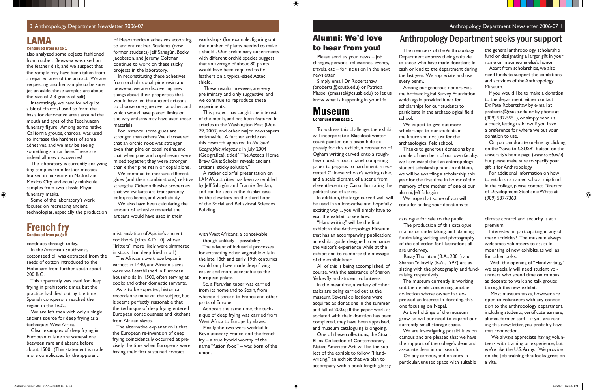#### 10 Anthropology Department Newsletter 2006-07 Anthropology Department Newsletter 2006-07 1

#### LAMA Continued from page 1

<u> Birlin Maria Birlin </u>

also analyzed some objects fashioned from rubber. Beeswax was used on the feather disk, and we suspect that the sample may have been taken from a repaired area of the artifact. We are requesting another sample to be sure (as an aside, these samples are about the size of 2-3 grains of salt).

Interestingly, we have found quite a bit of charcoal used to form the basis for decorative areas around the mouth and eyes of the Teotihuacan funerary figure. Among some native California groups, charcoal was used to increase the hardness of some adhesives, and we may be seeing something similar here. These are indeed all new discoveries!

The laboratory is currently analyzing tiny samples from feather mosaics housed in museums in Madrid and Mexico City, and equally miniscule samples from two classic Mayan funerary masks.

Some of the laboratory's work focuses on recreating ancient technologies, especially the production of Mesoamerican adhesives according to ancient recipes. Students (now former students) Jeff Sahagún, Becky Jacobsson, and Jeremy Coltman continue to work on these sticky projects in the laboratory.

workshops (for example, figuring out the number of plants needed to make a shield). Our preliminary experiments with different orchid species suggest that an average of about 80 plants would have been required to fix feathers on a typical-sized Aztec shield.

In reconstituting these adhesives from orchids, copal, pine resin and beeswax, we are discovering new things about their properties that would have led the ancient artisans to choose one glue over another, and which would have placed limits on the way artisans may have used these materials.

For instance, some glues are stronger than others. We discovered that an orchid root was stronger even than pine or copal resins, and that when pine and copal resins were mixed together, they were stronger than either pine resin or copal alone.

We continue to measure different glues (and their combinations) relative strengths. Other adhesive properties that we evaluate are transparency, color, resilience, and workability.

> "Handwriting" will be the first exhibit at the Anthropology Museum that has an accompanying publication: an exhibit guide designed to enhance the visitor's experience while at the exhibit and to reinforce the message of the exhibit later.

> All of this is being accomplished, of course, with the assistance of Sharon Yellowfly and student volunteers.

We also have been calculating the amount of adhesive material the artisans would have used in their

 These results, however, are very preliminary and only suggestive, and we continue to reproduce these experiments.

This project has caught the interest of the media, and has been featured in articles in the Washington Post (Dec. 29, 2003) and other major newspapers nationwide. A further article on this research appeared in *National Geographic Magazine* in July 2004 (Geografica), titled "The Aztec's Home Brew Glue: Scholar reveals ancient artisans' sticky solution."

> With the opening of "Handwriting," we especially will need student volunteers who spend time on campus as docents to walk and talk groups through this new exhibit.

A rather colorful presentation on LAMA's activities has been assembled by Jeff Sahagún and Frannie Berdan, and can be seen in the display case by the elevators on the third floor of the Social and Behavioral Sciences Building.

### Alumni: We'd love to hear from you! The members of the Anthropology

Among our generous donors was the Archaeological Survey Foundation, which again provided funds for scholarships for our students to participate in the archaeological field

We expect to give out more scholarships to our students in the future and not just for the archaeological field school.

To address this challenge, the exhibit will incorporate a Blackfoot winter count painted on a bison hide expressly for this exhibit, a recreation of Ogham writing carved onto a roughhewn post, a touch panel comparing paper to papyrus to parchment, a recreated Chinese scholar's writing table, and a scale diorama of a scene from eleventh-century Cairo illustrating the political use of script.

In addition, the large curved wall will be used in an innovative and hopefully exciting way ... you will simply have to visit the exhibit to see how.

In the meantime, a variety of other tasks are being carried out at the museum. Several collections were acquired as donations in the summer and fall of 2005; all the paper work associated with their donation has been completed, they have been appraised, and museum cataloguing is ongoing.

One of these collections, the Stuart Ellins Collection of Contemporary Native American Art, will be the subject of the exhibit to follow "Handwriting," an exhibit that we plan to accompany with a book-length, glossy

#### Museum Continued from page 1

 $\bigoplus$ 

The production of this catalogue

catalogue for sale to the public. is a major undertaking, and planning, fundraising, writing and photography of the collection for illustrations all are underway.

 The alternative explanation is that the European re-invention of deep frying coincidentally occurred at precisely the time when Europeans were having their first sustained contact

Rusty Thornton (B.A., 2001) and Sharon Yellowfly (B.A., 1997) are assisting with the photography and fundraising respectively.

 The museum currently is working out the details concerning another collection whose owner has expressed an interest in donating, this one focusing on Nepal.

 As the holdings of the museum grow, so will our need to expand our currently-small storage space. We are investigating possibilities on campus and are pleased that we have the support of the college's dean and associate dean in our search.

 On any campus, and on ours in particular, unused space with suitable

climate control and security is at a premium.

 Interested in participating in any of these activities? The museum always welcomes volunteers to assist in mounting of new exhibits, as well as for other tasks.

 Most museum tasks, however, are open to volunteers with any connection to the anthropology department, including students, certificate earners, alumni, former staff – if you are reading this newsletter, you probably have that connection.

 We always appreciate having volunteers with training or experience, but we're like the U.S. Army: We provide on-the-job training that looks great on a vita.

⊕

Department express their gratitude to those who have made donations in cash or kind to the department during the last year. We appreciate and use every penny.

school.

Thanks to generous donations by a couple of members of our own faculty, we have established an anthropology student scholarship fund. In addition, we will be awarding a scholarship this year for the first time in honor of the memory of the mother of one of our alumni, Jeff Sahagún.

We hope that some of you will consider adding your donations to

### Anthropology Department seeks your support

 Please send us your news – job changes, personal milestones, events, travels, etc – for inclusion in the next newsletter.

 Simply email Dr. Robertshaw (proberts@csusb.edu) or Patricia Massei (pmassei@csusb.edu) to let us know what is happening in your life.

the general anthropology scholarship fund or designating a larger gift in your name or in someone else's honor.

<u>in Tim</u>

Apart from scholarships, we also need funds to support the exhibitions and activities of the Anthropology Museum.

If you would like to make a donation to the department, either contact Dr. Pete Robertshaw by e-mail at proberts@csusb.edu or by phone at (909) 537-5551), or simply send us a check, letting us know if you have a preference for where we put your donation to use.

Or you can donate on-line by clicking on the "Give to CSUSB" button on the university's home page (*www.csusb.edu*), but please make sure to specify your gift is for Anthropology.

For additional information on how to establish a named scholarship fund in the college, please contact Director of Development Stephanie White at (909) 537-7363.

continues through today.

 In the American Southwest, cottonseed oil was extracted from the seeds of cotton introduced to the Hohokam from further south about 200 B.C.

 This apparently was used for deep frying in prehistoric times, but the practice had died out by the time Spanish conquerors reached the region in the 1602.

 We are left then with only a single ancient source for deep frying as a technique: West Africa.

 Clear examples of deep frying in European cuisine are somewhere between rare and absent before about 1500. (This statement is made more complicated by the apparent

mistranslation of Apicius's ancient cookbook [circa A.D. 10], whose "fritters" more likely were simmered in stock than deep fried in oil.)

 The African slave trade began in earnest in 1440, and African slaves were well established in European households by 1500, often serving as cooks and other domestic servants.

 As is to be expected, historical records are mute on the subject, but it seems perfectly reasonable that the technique of deep frying entered European consciousness and kitchens from African slaves.

with West Africans, a conceivable – though unlikely – possibility.

 The advent of industrial processes for extracting other vegetable oils in the late 18th and early 19th centuries would only have made deep frying easier and more acceptable to the European palate.

 So, a Peruvian tuber was carried from its homeland to Spain, from whence it spread to France and other parts of Europe.

 At about the same time, the technique of deep frying was carried from West Africa to Europe by slaves.

 Finally, the two were wedded in Revolutionary France, and the french fry – a true hybrid worthy of the name "fusion food" – was born of the union.

### French fry Continued from page 9

 $\bigoplus$